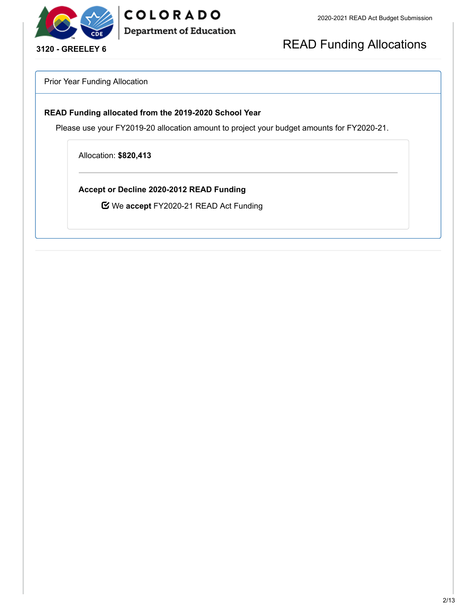

COLORADO **Department of Education** 

## READ Funding Allocations

Prior Year Funding Allocation

### **READ Funding allocated from the 2019-2020 School Year**

Please use your FY2019-20 allocation amount to project your budget amounts for FY2020-21.

Allocation: **\$820,413**

**Accept or Decline 2020-2012 READ Funding**

We **accept** FY2020-21 READ Act Funding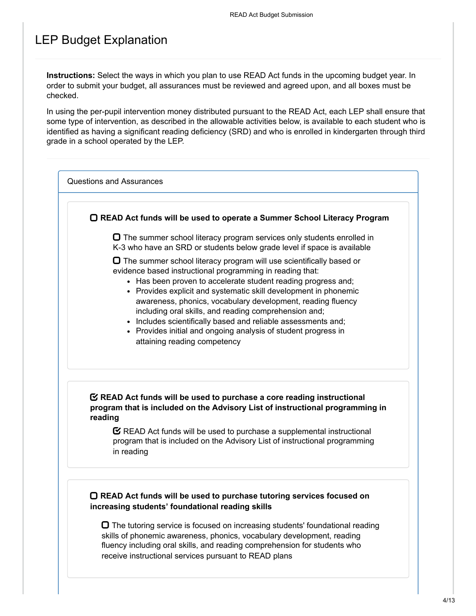### LEP Budget Explanation

**Instructions:** Select the ways in which you plan to use READ Act funds in the upcoming budget year. In order to submit your budget, all assurances must be reviewed and agreed upon, and all boxes must be checked.

In using the per-pupil intervention money distributed pursuant to the READ Act, each LEP shall ensure that some type of intervention, as described in the allowable activities below, is available to each student who is identified as having a significant reading deficiency (SRD) and who is enrolled in kindergarten through third grade in a school operated by the LEP.

Questions and Assurances

**READ Act funds will be used to operate a Summer School Literacy Program**

 $\Box$  The summer school literacy program services only students enrolled in K-3 who have an SRD or students below grade level if space is available

 $\Box$  The summer school literacy program will use scientifically based or evidence based instructional programming in reading that:

- Has been proven to accelerate student reading progress and:
- Provides explicit and systematic skill development in phonemic awareness, phonics, vocabulary development, reading fluency including oral skills, and reading comprehension and;
- Includes scientifically based and reliable assessments and;
- Provides initial and ongoing analysis of student progress in attaining reading competency

### **READ Act funds will be used to purchase a core reading instructional program that is included on the Advisory List of instructional programming in reading**

 $\mathbf C$  READ Act funds will be used to purchase a supplemental instructional program that is included on the Advisory List of instructional programming in reading

### **READ Act funds will be used to purchase tutoring services focused on increasing students' foundational reading skills**

 $\Box$  The tutoring service is focused on increasing students' foundational reading skills of phonemic awareness, phonics, vocabulary development, reading fluency including oral skills, and reading comprehension for students who receive instructional services pursuant to READ plans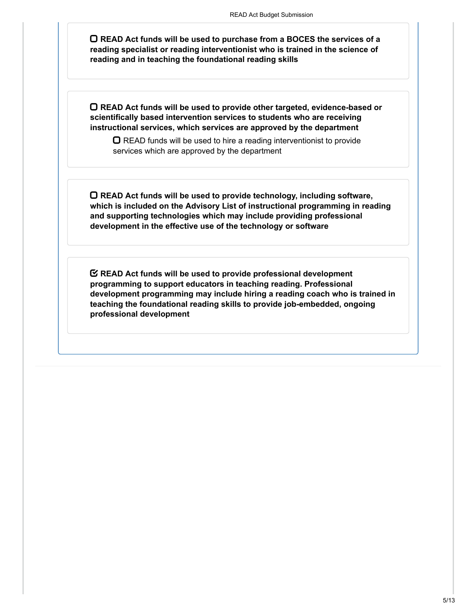**READ Act funds will be used to purchase from a BOCES the services of a reading specialist or reading interventionist who is trained in the science of reading and in teaching the foundational reading skills**

**READ Act funds will be used to provide other targeted, evidence-based or scientifically based intervention services to students who are receiving instructional services, which services are approved by the department**

 $\Box$  READ funds will be used to hire a reading interventionist to provide services which are approved by the department

**READ Act funds will be used to provide technology, including software, which is included on the Advisory List of instructional programming in reading and supporting technologies which may include providing professional development in the effective use of the technology or software**

**READ Act funds will be used to provide professional development programming to support educators in teaching reading. Professional development programming may include hiring a reading coach who is trained in teaching the foundational reading skills to provide job-embedded, ongoing professional development**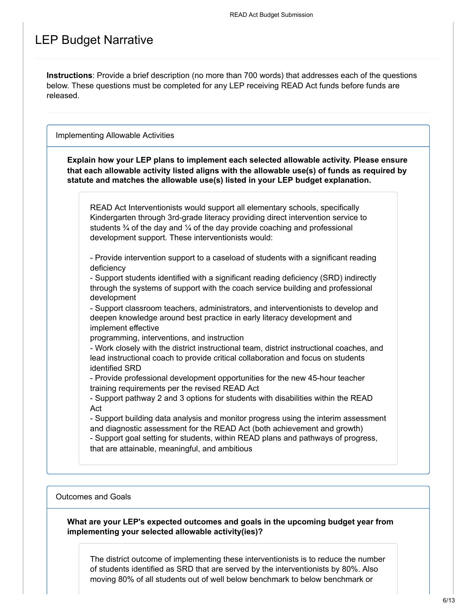### LEP Budget Narrative

**Instructions**: Provide a brief description (no more than 700 words) that addresses each of the questions below. These questions must be completed for any LEP receiving READ Act funds before funds are released.

Implementing Allowable Activities

**Explain how your LEP plans to implement each selected allowable activity. Please ensure that each allowable activity listed aligns with the allowable use(s) of funds as required by statute and matches the allowable use(s) listed in your LEP budget explanation.**

READ Act Interventionists would support all elementary schools, specifically Kindergarten through 3rd-grade literacy providing direct intervention service to students  $\frac{3}{4}$  of the day and  $\frac{1}{4}$  of the day provide coaching and professional development support. These interventionists would:

- Provide intervention support to a caseload of students with a significant reading deficiency

- Support students identified with a significant reading deficiency (SRD) indirectly through the systems of support with the coach service building and professional development

- Support classroom teachers, administrators, and interventionists to develop and deepen knowledge around best practice in early literacy development and implement effective

programming, interventions, and instruction

- Work closely with the district instructional team, district instructional coaches, and lead instructional coach to provide critical collaboration and focus on students identified SRD

- Provide professional development opportunities for the new 45-hour teacher training requirements per the revised READ Act

- Support pathway 2 and 3 options for students with disabilities within the READ Act

- Support building data analysis and monitor progress using the interim assessment and diagnostic assessment for the READ Act (both achievement and growth)

- Support goal setting for students, within READ plans and pathways of progress, that are attainable, meaningful, and ambitious

### Outcomes and Goals

**What are your LEP's expected outcomes and goals in the upcoming budget year from implementing your selected allowable activity(ies)?**

The district outcome of implementing these interventionists is to reduce the number of students identified as SRD that are served by the interventionists by 80%. Also moving 80% of all students out of well below benchmark to below benchmark or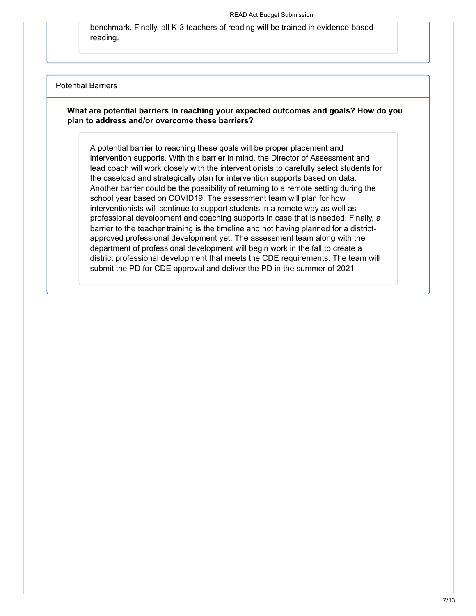benchmark. Finally, all K-3 teachers of reading will be trained in evidence-based reading.

#### Potential Barriers

### **What are potential barriers in reaching your expected outcomes and goals? How do you plan to address and/or overcome these barriers?**

A potential barrier to reaching these goals will be proper placement and intervention supports. With this barrier in mind, the Director of Assessment and lead coach will work closely with the interventionists to carefully select students for the caseload and strategically plan for intervention supports based on data. Another barrier could be the possibility of returning to a remote setting during the school year based on COVID19. The assessment team will plan for how interventionists will continue to support students in a remote way as well as professional development and coaching supports in case that is needed. Finally, a barrier to the teacher training is the timeline and not having planned for a districtapproved professional development yet. The assessment team along with the department of professional development will begin work in the fall to create a district professional development that meets the CDE requirements. The team will submit the PD for CDE approval and deliver the PD in the summer of 2021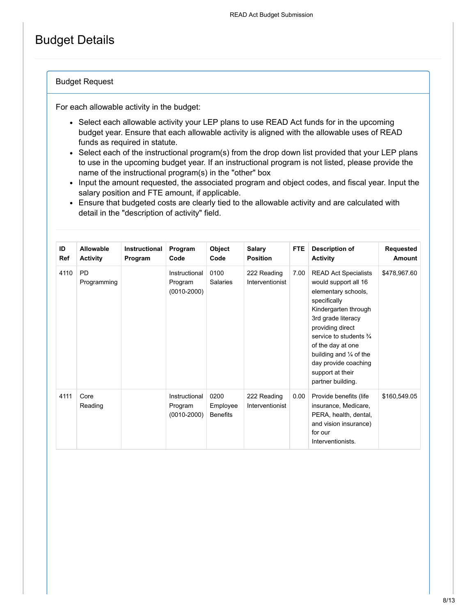## Budget Details

### Budget Request

For each allowable activity in the budget:

- Select each allowable activity your LEP plans to use READ Act funds for in the upcoming budget year. Ensure that each allowable activity is aligned with the allowable uses of READ funds as required in statute.
- Select each of the instructional program(s) from the drop down list provided that your LEP plans to use in the upcoming budget year. If an instructional program is not listed, please provide the name of the instructional program(s) in the "other" box
- Input the amount requested, the associated program and object codes, and fiscal year. Input the salary position and FTE amount, if applicable.
- Ensure that budgeted costs are clearly tied to the allowable activity and are calculated with detail in the "description of activity" field.

| ID<br><b>Ref</b> | Allowable<br><b>Activity</b> | Instructional<br>Program | Program<br>Code                             | Object<br>Code                      | Salary<br><b>Position</b>      | <b>FTE</b> | <b>Description of</b><br><b>Activity</b>                                                                                                                                                                                                                                                                           | Requested<br>Amount |
|------------------|------------------------------|--------------------------|---------------------------------------------|-------------------------------------|--------------------------------|------------|--------------------------------------------------------------------------------------------------------------------------------------------------------------------------------------------------------------------------------------------------------------------------------------------------------------------|---------------------|
| 4110             | <b>PD</b><br>Programming     |                          | Instructional<br>Program<br>$(0010 - 2000)$ | 0100<br><b>Salaries</b>             | 222 Reading<br>Interventionist | 7.00       | <b>READ Act Specialists</b><br>would support all 16<br>elementary schools,<br>specifically<br>Kindergarten through<br>3rd grade literacy<br>providing direct<br>service to students $\frac{3}{4}$<br>of the day at one<br>building and 1/4 of the<br>day provide coaching<br>support at their<br>partner building. | \$478,967.60        |
| 4111             | Core<br>Reading              |                          | Instructional<br>Program<br>$(0010 - 2000)$ | 0200<br>Employee<br><b>Benefits</b> | 222 Reading<br>Interventionist | 0.00       | Provide benefits (life<br>insurance, Medicare,<br>PERA, health, dental,<br>and vision insurance)<br>for our<br>Interventionists.                                                                                                                                                                                   | \$160,549.05        |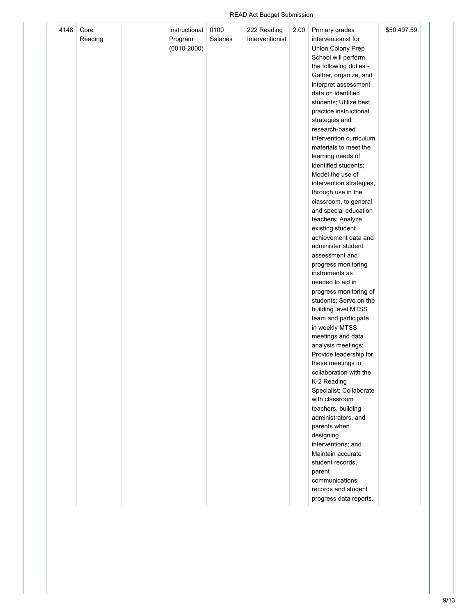### READ Act Budget Submission

| 4148 | Core<br>Reading | Instructional<br>Program<br>$(0010 - 2000)$ | 0100<br><b>Salaries</b> | 222 Reading<br>Interventionist | 2.00 | Primary grades<br>interventionist for<br>Union Colony Prep<br>School will perform<br>the following duties -<br>Gather, organize, and<br>interpret assessment<br>data on identified<br>students; Utilize best<br>practice instructional<br>strategies and<br>research-based<br>intervention curriculum<br>materials to meet the<br>learning needs of<br>identified students;<br>Model the use of<br>intervention strategies,<br>through use in the<br>classroom, to general<br>and special education<br>teachers; Analyze<br>existing student<br>achievement data and<br>administer student<br>assessment and<br>progress monitoring<br>instruments as<br>needed to aid in<br>progress monitoring of<br>students; Serve on the<br>building level MTSS<br>team and participate<br>in weekly MTSS<br>meetings and data<br>analysis meetings;<br>Provide leadership for<br>these meetings in<br>collaboration with the<br>K-2 Reading<br>Specialist; Collaborate<br>with classroom<br>teachers, building<br>administrators, and<br>parents when<br>designing<br>interventions; and<br>Maintain accurate<br>student records,<br>parent<br>communications<br>records and student | \$50,497.59 |  |
|------|-----------------|---------------------------------------------|-------------------------|--------------------------------|------|----------------------------------------------------------------------------------------------------------------------------------------------------------------------------------------------------------------------------------------------------------------------------------------------------------------------------------------------------------------------------------------------------------------------------------------------------------------------------------------------------------------------------------------------------------------------------------------------------------------------------------------------------------------------------------------------------------------------------------------------------------------------------------------------------------------------------------------------------------------------------------------------------------------------------------------------------------------------------------------------------------------------------------------------------------------------------------------------------------------------------------------------------------------------------|-------------|--|
|      |                 |                                             |                         |                                |      | progress data reports.                                                                                                                                                                                                                                                                                                                                                                                                                                                                                                                                                                                                                                                                                                                                                                                                                                                                                                                                                                                                                                                                                                                                                     |             |  |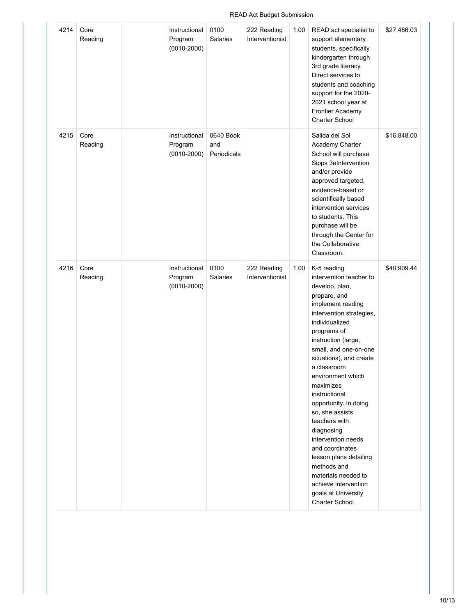### READ Act Budget Submission

| 4214 | Core<br>Reading | Instructional<br>Program<br>$(0010 - 2000)$ | 0100<br>Salaries                | 222 Reading<br>Interventionist | 1.00 | READ act specialist to<br>support elementary<br>students, specifically<br>kindergarten through<br>3rd grade literacy.<br>Direct services to<br>students and coaching<br>support for the 2020-<br>2021 school year at<br>Frontier Academy<br>Charter School                                                                                                                                                                                                                                                                                                    | \$27,486.03 |
|------|-----------------|---------------------------------------------|---------------------------------|--------------------------------|------|---------------------------------------------------------------------------------------------------------------------------------------------------------------------------------------------------------------------------------------------------------------------------------------------------------------------------------------------------------------------------------------------------------------------------------------------------------------------------------------------------------------------------------------------------------------|-------------|
| 4215 | Core<br>Reading | Instructional<br>Program<br>$(0010 - 2000)$ | 0640 Book<br>and<br>Periodicals |                                |      | Salida del Sol<br>Academy Charter<br>School will purchase<br>Sipps 3eIntervention<br>and/or provide<br>approved targeted,<br>evidence-based or<br>scientifically based<br>intervention services<br>to students. This<br>purchase will be<br>through the Center for<br>the Collaborative<br>Classroom.                                                                                                                                                                                                                                                         | \$16,848.00 |
| 4216 | Core<br>Reading | Instructional<br>Program<br>$(0010 - 2000)$ | 0100<br><b>Salaries</b>         | 222 Reading<br>Interventionist | 1.00 | K-5 reading<br>intervention teacher to<br>develop, plan,<br>prepare, and<br>implement reading<br>intervention strategies,<br>individualized<br>programs of<br>instruction (large,<br>small, and one-on-one<br>situations), and create<br>a classroom<br>environment which<br>maximizes<br>instructional<br>opportunity. In doing<br>so, she assists<br>teachers with<br>diagnosing<br>intervention needs<br>and coordinates<br>lesson plans detailing<br>methods and<br>materials needed to<br>achieve intervention<br>goals at University<br>Charter School. | \$40,909.44 |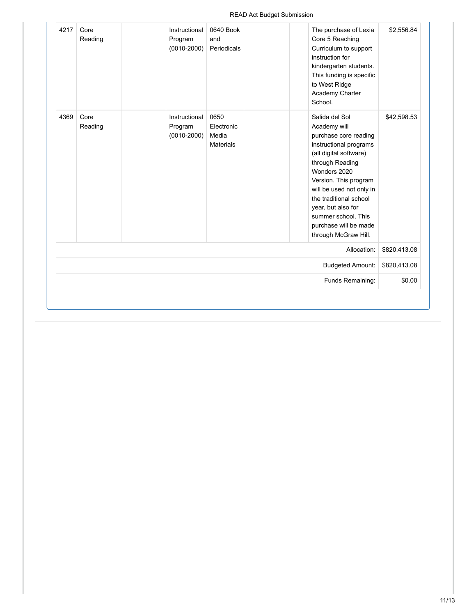### READ Act Budget Submission

| 4217<br>4369 | Core<br>Reading<br>Core | Instructional<br>Program<br>$(0010 - 2000)$<br>Instructional | 0640 Book<br>and<br>Periodicals<br>0650 | The purchase of Lexia<br>Core 5 Reaching<br>Curriculum to support<br>instruction for<br>kindergarten students.<br>This funding is specific<br>to West Ridge<br>Academy Charter<br>School.<br>Salida del Sol                                                                                               | \$2,556.84   |
|--------------|-------------------------|--------------------------------------------------------------|-----------------------------------------|-----------------------------------------------------------------------------------------------------------------------------------------------------------------------------------------------------------------------------------------------------------------------------------------------------------|--------------|
|              | Reading                 | Program<br>$(0010 - 2000)$                                   | Electronic<br>Media<br><b>Materials</b> | Academy will<br>purchase core reading<br>instructional programs<br>(all digital software)<br>through Reading<br>Wonders 2020<br>Version. This program<br>will be used not only in<br>the traditional school<br>year, but also for<br>summer school. This<br>purchase will be made<br>through McGraw Hill. | \$42,598.53  |
|              |                         |                                                              |                                         | Allocation:                                                                                                                                                                                                                                                                                               | \$820,413.08 |
|              |                         |                                                              |                                         | <b>Budgeted Amount:</b>                                                                                                                                                                                                                                                                                   | \$820,413.08 |
|              |                         |                                                              |                                         | Funds Remaining:                                                                                                                                                                                                                                                                                          | \$0.00       |